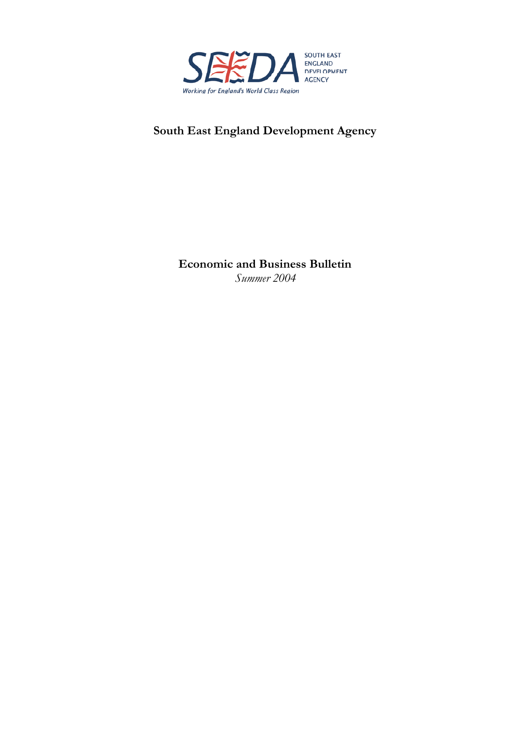

# **South East England Development Agency**

**Economic and Business Bulletin**  *Summer 2004*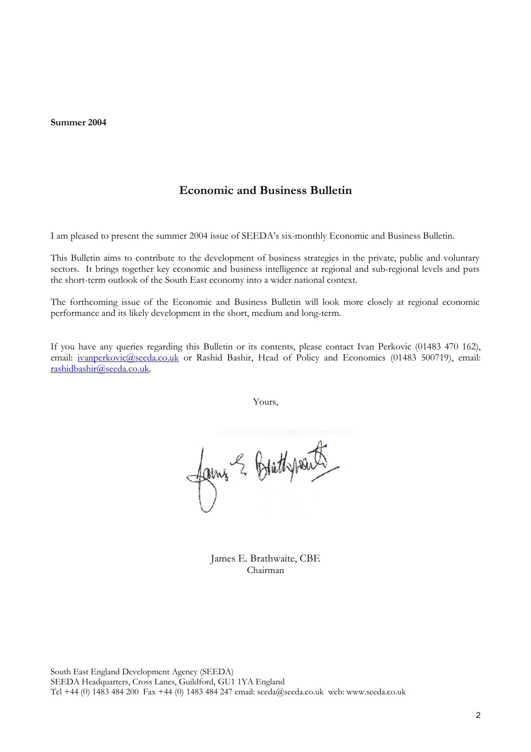**Summer 2004** 

## **Economic and Business Bulletin**

I am pleased to present the summer 2004 issue of SEEDA's six-monthly Economic and Business Bulletin.

This Bulletin aims to contribute to the development of business strategies in the private, public and voluntary sectors. It brings together key economic and business intelligence at regional and sub-regional levels and puts the short-term outlook of the South East economy into a wider national context.

The forthcoming issue of the Economic and Business Bulletin will look more closely at regional economic performance and its likely development in the short, medium and long-term.

If you have any queries regarding this Bulletin or its contents, please contact Ivan Perkovic (01483 470 162), email: [ivanperkovic@seeda.co.uk](mailto:ivanperkovic@seeda.co.uk) or Rashid Bashir, Head of Policy and Economics (01483 500719), email: [rashidbashir@seeda.co.uk](mailto:rashidbashir@seeda.co.uk).

Yours,

fains & Brethpouts

James E. Brathwaite, CBE Chairman

South East England Development Agency (SEEDA) SEEDA Headquarters, Cross Lanes, Guildford, GU1 1YA England Tel +44 (0) 1483 484 200 Fax +44 (0) 1483 484 247 email: seeda@seeda.co.uk web: www.seeda.co.uk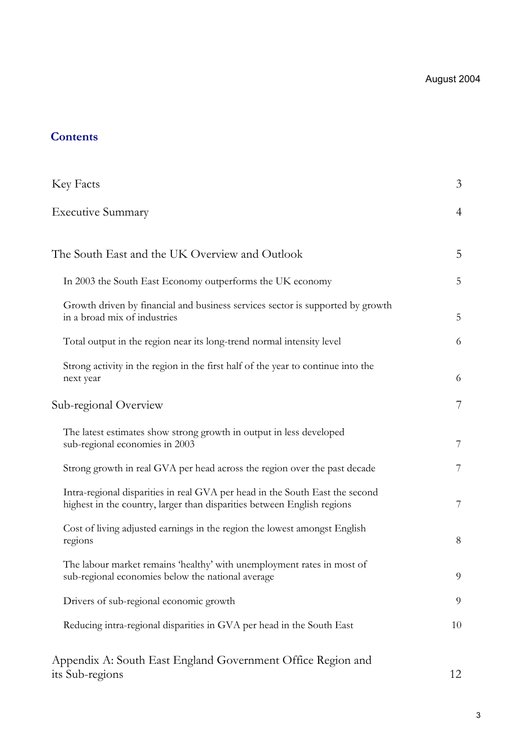# **Contents**

| Key Facts                                                                                                                                               | 3  |
|---------------------------------------------------------------------------------------------------------------------------------------------------------|----|
| <b>Executive Summary</b>                                                                                                                                | 4  |
| The South East and the UK Overview and Outlook                                                                                                          | 5  |
| In 2003 the South East Economy outperforms the UK economy                                                                                               | 5  |
| Growth driven by financial and business services sector is supported by growth<br>in a broad mix of industries                                          | 5  |
| Total output in the region near its long-trend normal intensity level                                                                                   | 6  |
| Strong activity in the region in the first half of the year to continue into the<br>next year                                                           | 6  |
| Sub-regional Overview                                                                                                                                   | 7  |
| The latest estimates show strong growth in output in less developed<br>sub-regional economies in 2003                                                   | 7  |
| Strong growth in real GVA per head across the region over the past decade                                                                               | 7  |
| Intra-regional disparities in real GVA per head in the South East the second<br>highest in the country, larger than disparities between English regions | 7  |
| Cost of living adjusted earnings in the region the lowest amongst English<br>regions                                                                    | 8  |
| The labour market remains 'healthy' with unemployment rates in most of<br>sub-regional economies below the national average                             | 9  |
| Drivers of sub-regional economic growth                                                                                                                 | 9  |
| Reducing intra-regional disparities in GVA per head in the South East                                                                                   | 10 |
| Appendix A: South East England Government Office Region and<br>its Sub-regions                                                                          | 12 |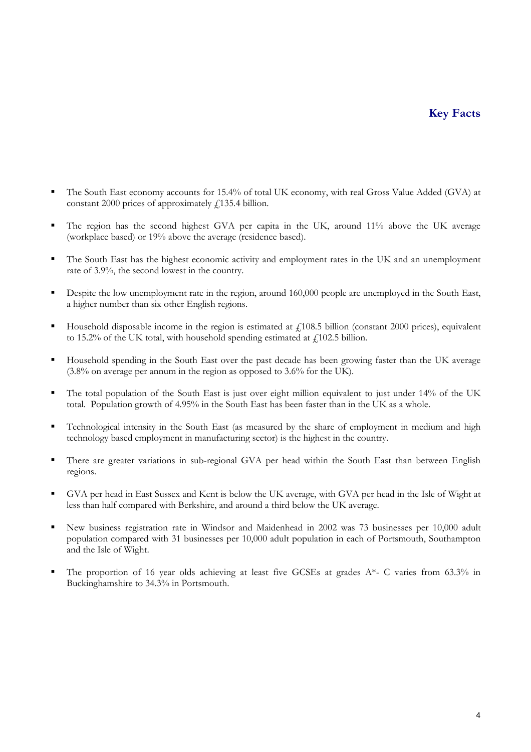# **Key Facts**

- The South East economy accounts for 15.4% of total UK economy, with real Gross Value Added (GVA) at constant 2000 prices of approximately  $\ell$ 135.4 billion.
- The region has the second highest GVA per capita in the UK, around 11% above the UK average (workplace based) or 19% above the average (residence based).
- The South East has the highest economic activity and employment rates in the UK and an unemployment rate of 3.9%, the second lowest in the country.
- Despite the low unemployment rate in the region, around 160,000 people are unemployed in the South East, a higher number than six other English regions.
- Household disposable income in the region is estimated at  $f<sub>108.5</sub>$  billion (constant 2000 prices), equivalent to 15.2% of the UK total, with household spending estimated at  $\ell$ 102.5 billion.
- Household spending in the South East over the past decade has been growing faster than the UK average (3.8% on average per annum in the region as opposed to 3.6% for the UK).
- The total population of the South East is just over eight million equivalent to just under 14% of the UK total. Population growth of 4.95% in the South East has been faster than in the UK as a whole.
- Technological intensity in the South East (as measured by the share of employment in medium and high technology based employment in manufacturing sector) is the highest in the country.
- There are greater variations in sub-regional GVA per head within the South East than between English regions.
- GVA per head in East Sussex and Kent is below the UK average, with GVA per head in the Isle of Wight at less than half compared with Berkshire, and around a third below the UK average.
- New business registration rate in Windsor and Maidenhead in 2002 was 73 businesses per 10,000 adult population compared with 31 businesses per 10,000 adult population in each of Portsmouth, Southampton and the Isle of Wight.
- The proportion of 16 year olds achieving at least five GCSEs at grades A\*- C varies from 63.3% in Buckinghamshire to 34.3% in Portsmouth.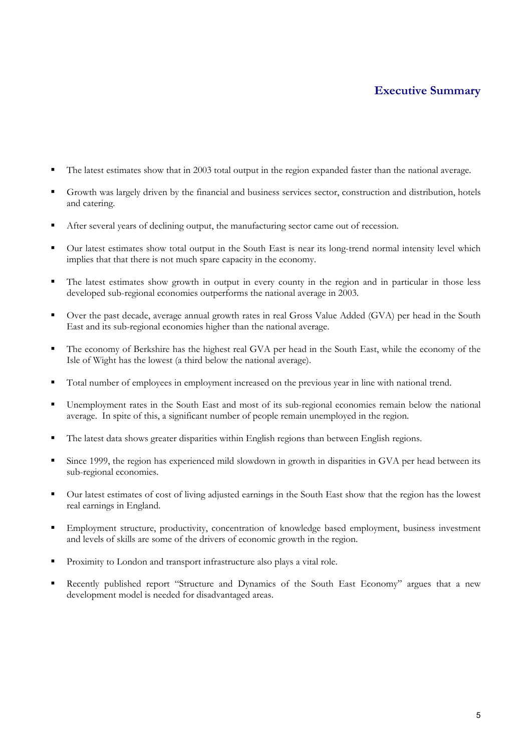# **Executive Summary**

- The latest estimates show that in 2003 total output in the region expanded faster than the national average.
- Growth was largely driven by the financial and business services sector, construction and distribution, hotels and catering.
- After several years of declining output, the manufacturing sector came out of recession.
- Our latest estimates show total output in the South East is near its long-trend normal intensity level which implies that that there is not much spare capacity in the economy.
- The latest estimates show growth in output in every county in the region and in particular in those less developed sub-regional economies outperforms the national average in 2003.
- Over the past decade, average annual growth rates in real Gross Value Added (GVA) per head in the South East and its sub-regional economies higher than the national average.
- The economy of Berkshire has the highest real GVA per head in the South East, while the economy of the Isle of Wight has the lowest (a third below the national average).
- Total number of employees in employment increased on the previous year in line with national trend.
- Unemployment rates in the South East and most of its sub-regional economies remain below the national average. In spite of this, a significant number of people remain unemployed in the region.
- The latest data shows greater disparities within English regions than between English regions.
- Since 1999, the region has experienced mild slowdown in growth in disparities in GVA per head between its sub-regional economies.
- Our latest estimates of cost of living adjusted earnings in the South East show that the region has the lowest real earnings in England.
- Employment structure, productivity, concentration of knowledge based employment, business investment and levels of skills are some of the drivers of economic growth in the region.
- **Proximity to London and transport infrastructure also plays a vital role.**
- Recently published report "Structure and Dynamics of the South East Economy" argues that a new development model is needed for disadvantaged areas.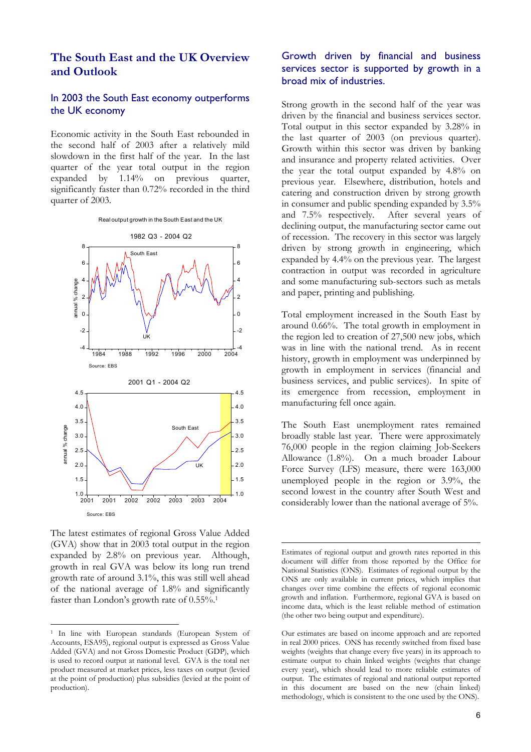## **The South East and the UK Overview and Outlook**

#### In 2003 the South East economy outperforms the UK economy Strong growth in the second half of the year was<br>the UK economy diverse the financial and business context

Economic activity in the South East rebounded in the second half of 2003 after a relatively mild slowdown in the first half of the year. In the last quarter of the year total output in the region expanded by 1.14% on previous quarter, significantly faster than 0.72% recorded in the third quarter of 2003.



The latest estimates of regional Gross Value Added (GVA) show that in 2003 total output in the region expanded by 2.8% on previous year. Although, growth in real GVA was below its long run trend growth rate of around 3.1%, this was still well ahead of the national average of 1.8% and significantly faster than London's growth rate of 0.55%.<sup>1</sup>

 $\overline{a}$ 

### Growth driven by financial and business services sector is supported by growth in a broad mix of industries.

driven by the financial and business services sector. Total output in this sector expanded by 3.28% in the last quarter of 2003 (on previous quarter). Growth within this sector was driven by banking and insurance and property related activities. Over the year the total output expanded by 4.8% on previous year. Elsewhere, distribution, hotels and catering and construction driven by strong growth in consumer and public spending expanded by 3.5% and 7.5% respectively. After several years of declining output, the manufacturing sector came out of recession. The recovery in this sector was largely driven by strong growth in engineering, which expanded by 4.4% on the previous year. The largest contraction in output was recorded in agriculture and some manufacturing sub-sectors such as metals and paper, printing and publishing.

Total employment increased in the South East by around 0.66%. The total growth in employment in the region led to creation of 27,500 new jobs, which was in line with the national trend. As in recent history, growth in employment was underpinned by growth in employment in services (financial and business services, and public services). In spite of its emergence from recession, employment in manufacturing fell once again.

The South East unemployment rates remained broadly stable last year. There were approximately 76,000 people in the region claiming Job-Seekers Allowance (1.8%). On a much broader Labour Force Survey (LFS) measure, there were 163,000 unemployed people in the region or 3.9%, the second lowest in the country after South West and considerably lower than the national average of 5%.

<span id="page-5-0"></span><sup>1</sup> In line with European standards (European System of Accounts, ESA95), regional output is expressed as Gross Value Added (GVA) and not Gross Domestic Product (GDP), which is used to record output at national level. GVA is the total net product measured at market prices, less taxes on output (levied at the point of production) plus subsidies (levied at the point of production).

Estimates of regional output and growth rates reported in this document will differ from those reported by the Office for National Statistics (ONS). Estimates of regional output by the ONS are only available in current prices, which implies that changes over time combine the effects of regional economic growth and inflation. Furthermore, regional GVA is based on income data, which is the least reliable method of estimation (the other two being output and expenditure).

Our estimates are based on income approach and are reported in real 2000 prices. ONS has recently switched from fixed base weights (weights that change every five years) in its approach to estimate output to chain linked weights (weights that change every year), which should lead to more reliable estimates of output. The estimates of regional and national output reported in this document are based on the new (chain linked) methodology, which is consistent to the one used by the ONS).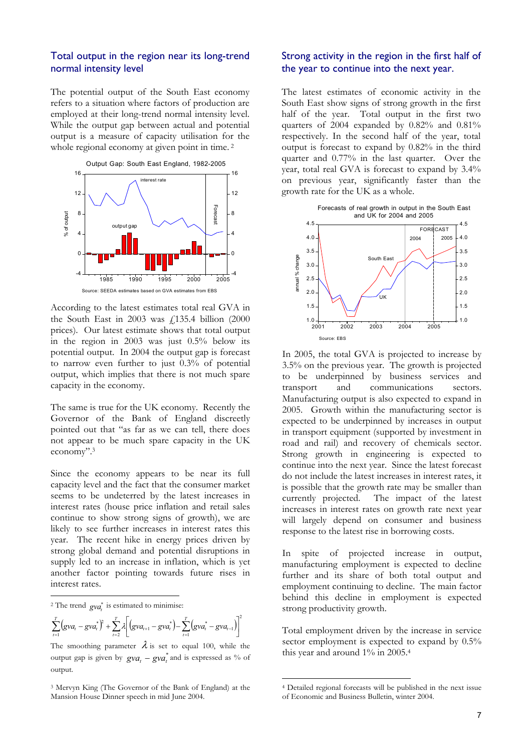#### Total output in the region near its long-trend normal intensity level

The potential output of the South East economy refers to a situation where factors of production are employed at their long-trend normal intensity level. While the output gap between actual and potential output is a measure of capacity utilisation for the whole regional economy at given point in time.<sup>[2](#page-6-0)</sup>



According to the latest estimates total real GVA in the South East in 2003 was  $f$ 135.4 billion (2000 prices). Our latest estimate shows that total output in the region in 2003 was just 0.5% below its potential output. In 2004 the output gap is forecast to narrow even further to just 0.3% of potential output, which implies that there is not much spare capacity in the economy.

The same is true for the UK economy. Recently the Governor of the Bank of England discreetly pointed out that "as far as we can tell, there does not appear to be much spare capacity in the UK economy"[.3](#page-6-1) 

Since the economy appears to be near its full capacity level and the fact that the consumer market seems to be undeterred by the latest increases in interest rates (house price inflation and retail sales continue to show strong signs of growth), we are likely to see further increases in interest rates this year. The recent hike in energy prices driven by strong global demand and potential disruptions in supply led to an increase in inflation, which is yet another factor pointing towards future rises in interest rates.

<span id="page-6-0"></span><sup>2</sup> The trend  $gva^*$  is estimated to minimise:

 $\ddot{\phantom{a}}$ 

$$
\sum_{t=1}^{T} (gva_t - gva_t^*)^2 + \sum_{t=2}^{T} \lambda \bigg[ (gva_{t+1} - gva_t^*) - \sum_{t=1}^{T} (gva_t^* - gva_{t-1}) \bigg]^2
$$

The smoothing parameter  $\lambda$  is set to equal 100, while the output gap is given by  $gva_t - gva_t^*$  and is expressed as % of output.

### Strong activity in the region in the first half of the year to continue into the next year.

The latest estimates of economic activity in the South East show signs of strong growth in the first half of the year. Total output in the first two quarters of 2004 expanded by 0.82% and 0.81% respectively. In the second half of the year, total output is forecast to expand by 0.82% in the third quarter and 0.77% in the last quarter. Over the year, total real GVA is forecast to expand by 3.4% on previous year, significantly faster than the growth rate for the UK as a whole.



In 2005, the total GVA is projected to increase by 3.5% on the previous year. The growth is projected to be underpinned by business services and transport and communications sectors. Manufacturing output is also expected to expand in 2005. Growth within the manufacturing sector is expected to be underpinned by increases in output in transport equipment (supported by investment in road and rail) and recovery of chemicals sector. Strong growth in engineering is expected to continue into the next year. Since the latest forecast do not include the latest increases in interest rates, it is possible that the growth rate may be smaller than currently projected. The impact of the latest increases in interest rates on growth rate next year will largely depend on consumer and business response to the latest rise in borrowing costs.

In spite of projected increase in output, manufacturing employment is expected to decline further and its share of both total output and employment continuing to decline. The main factor behind this decline in employment is expected strong productivity growth.

Total employment driven by the increase in service sector employment is expected to expand by  $0.5\%$ this year and around 1% in 2005[.4](#page-6-2) 

 $\overline{a}$ 

<span id="page-6-1"></span><sup>3</sup> Mervyn King (The Governor of the Bank of England) at the Mansion House Dinner speech in mid June 2004.

<span id="page-6-2"></span><sup>4</sup> Detailed regional forecasts will be published in the next issue of Economic and Business Bulletin, winter 2004.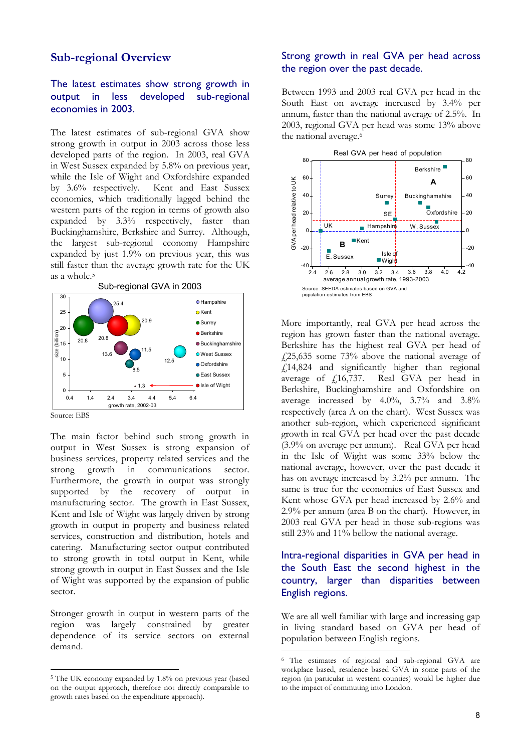### **Sub-regional Overview**

### The latest estimates show strong growth in output in less developed sub-regional economies in 2003.

The latest estimates of sub-regional GVA show the national average.<sup>6</sup> strong growth in output in 2003 across those less developed parts of the region. In 2003, real GVA in West Sussex expanded by 5.8% on previous year, while the Isle of Wight and Oxfordshire expanded by 3.6% respectively. Kent and East Sussex economies, which traditionally lagged behind the western parts of the region in terms of growth also expanded by 3.3% respectively, faster than Buckinghamshire, Berkshire and Surrey. Although, the largest sub-regional economy Hampshire expanded by just 1.9% on previous year, this was still faster than the average growth rate for the UK as a whole.[5](#page-7-0)



Source: EBS

The main factor behind such strong growth in output in West Sussex is strong expansion of business services, property related services and the strong growth in communications sector. Furthermore, the growth in output was strongly supported by the recovery of output in manufacturing sector. The growth in East Sussex, Kent and Isle of Wight was largely driven by strong growth in output in property and business related services, construction and distribution, hotels and catering. Manufacturing sector output contributed to strong growth in total output in Kent, while strong growth in output in East Sussex and the Isle of Wight was supported by the expansion of public sector.

Stronger growth in output in western parts of the region was largely constrained by greater dependence of its service sectors on external demand.

### Strong growth in real GVA per head across the region over the past decade.

Between 1993 and 2003 real GVA per head in the South East on average increased by 3.4% per annum, faster than the national average of 2.5%. In 2003, regional GVA per head was some 13% above



More importantly, real GVA per head across the region has grown faster than the national average. Berkshire has the highest real GVA per head of  $\frac{1}{25,635}$  some 73% above the national average of  $f14,824$  and significantly higher than regional average of £16,737. Real GVA per head in Berkshire, Buckinghamshire and Oxfordshire on average increased by 4.0%, 3.7% and 3.8% respectively (area A on the chart). West Sussex was another sub-region, which experienced significant growth in real GVA per head over the past decade (3.9% on average per annum). Real GVA per head in the Isle of Wight was some 33% below the national average, however, over the past decade it has on average increased by 3.2% per annum. The same is true for the economies of East Sussex and Kent whose GVA per head increased by 2.6% and 2.9% per annum (area B on the chart). However, in 2003 real GVA per head in those sub-regions was still 23% and 11% bellow the national average.

### Intra-regional disparities in GVA per head in the South East the second highest in the country, larger than disparities between English regions.

We are all well familiar with large and increasing gap in living standard based on GVA per head of population between English regions.

<span id="page-7-0"></span> $\overline{a}$ 5 The UK economy expanded by 1.8% on previous year (based on the output approach, therefore not directly comparable to growth rates based on the expenditure approach).

<span id="page-7-1"></span> <sup>6</sup> The estimates of regional and sub-regional GVA are workplace based, residence based GVA in some parts of the region (in particular in western counties) would be higher due to the impact of commuting into London.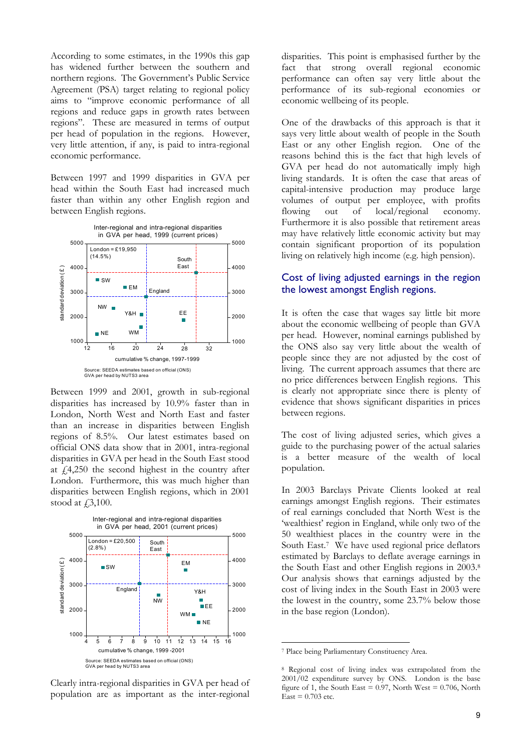According to some estimates, in the 1990s this gap has widened further between the southern and northern regions. The Government's Public Service Agreement (PSA) target relating to regional policy aims to "improve economic performance of all regions and reduce gaps in growth rates between regions". These are measured in terms of output per head of population in the regions. However, very little attention, if any, is paid to intra-regional economic performance.

Between 1997 and 1999 disparities in GVA per head within the South East had increased much faster than within any other English region and between English regions.



Between 1999 and 2001, growth in sub-regional disparities has increased by 10.9% faster than in London, North West and North East and faster than an increase in disparities between English regions of 8.5%. Our latest estimates based on official ONS data show that in 2001, intra-regional disparities in GVA per head in the South East stood at  $\hat{f}$ 4,250 the second highest in the country after London. Furthermore, this was much higher than disparities between English regions, which in 2001 stood at  $\text{\textsterling}3,100$ .



Clearly intra-regional disparities in GVA per head of population are as important as the inter-regional disparities. This point is emphasised further by the fact that strong overall regional economic performance can often say very little about the performance of its sub-regional economies or economic wellbeing of its people.

One of the drawbacks of this approach is that it says very little about wealth of people in the South East or any other English region. One of the reasons behind this is the fact that high levels of GVA per head do not automatically imply high living standards. It is often the case that areas of capital-intensive production may produce large volumes of output per employee, with profits flowing out of local/regional economy. Furthermore it is also possible that retirement areas may have relatively little economic activity but may contain significant proportion of its population living on relatively high income (e.g. high pension).

### Cost of living adjusted earnings in the region the lowest amongst English regions.

It is often the case that wages say little bit more about the economic wellbeing of people than GVA per head. However, nominal earnings published by the ONS also say very little about the wealth of people since they are not adjusted by the cost of living. The current approach assumes that there are no price differences between English regions. This is clearly not appropriate since there is plenty of evidence that shows significant disparities in prices between regions.

The cost of living adjusted series, which gives a guide to the purchasing power of the actual salaries is a better measure of the wealth of local population.

In 2003 Barclays Private Clients looked at real earnings amongst English regions. Their estimates of real earnings concluded that North West is the 'wealthiest' region in England, while only two of the 50 wealthiest places in the country were in the South East.[7](#page-8-0) We have used regional price deflators estimated by Barclays to deflate average earnings in the South East and other English regions in 2003.[8](#page-8-1)  Our analysis shows that earnings adjusted by the cost of living index in the South East in 2003 were the lowest in the country, some 23.7% below those in the base region (London).

<span id="page-8-0"></span> <sup>7</sup> Place being Parliamentary Constituency Area.

<span id="page-8-1"></span><sup>8</sup> Regional cost of living index was extrapolated from the 2001/02 expenditure survey by ONS. London is the base figure of 1, the South East =  $0.97$ , North West =  $0.706$ , North  $\text{East} = 0.703 \text{ etc.}$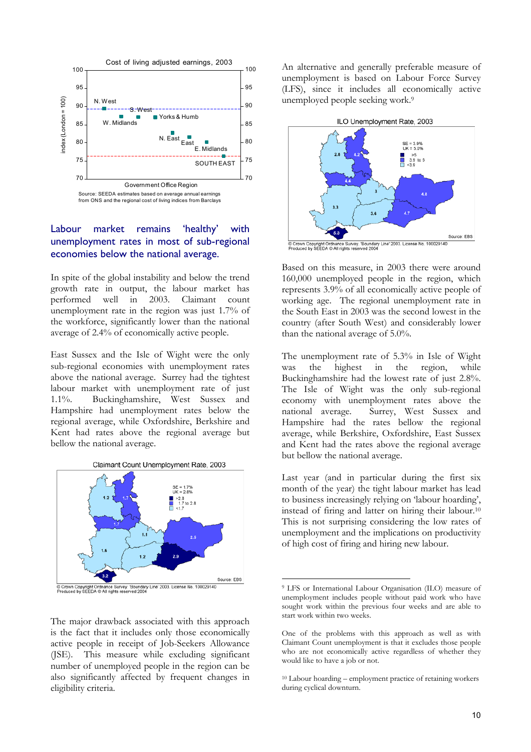

### Labour market remains 'healthy' with unemployment rates in most of sub-regional economies below the national average.

In spite of the global instability and below the trend growth rate in output, the labour market has performed well in 2003. Claimant count unemployment rate in the region was just 1.7% of the workforce, significantly lower than the national average of 2.4% of economically active people.

East Sussex and the Isle of Wight were the only sub-regional economies with unemployment rates above the national average. Surrey had the tightest labour market with unemployment rate of just 1.1%. Buckinghamshire, West Sussex and Hampshire had unemployment rates below the regional average, while Oxfordshire, Berkshire and Kent had rates above the regional average but bellow the national average.



The major drawback associated with this approach is the fact that it includes only those economically active people in receipt of Job-Seekers Allowance (JSE). This measure while excluding significant number of unemployed people in the region can be also significantly affected by frequent changes in eligibility criteria.

unemployment is based on Labour Force Survey (LFS), since it includes all economically active unemployed people seeking work.[9](#page-9-0) 



Based on this measure, in 2003 there were around 160,000 unemployed people in the region, which represents 3.9% of all economically active people of working age. The regional unemployment rate in the South East in 2003 was the second lowest in the country (after South West) and considerably lower than the national average of 5.0%.

The unemployment rate of 5.3% in Isle of Wight was the highest in the region, while Buckinghamshire had the lowest rate of just 2.8%. The Isle of Wight was the only sub-regional economy with unemployment rates above the national average. Surrey, West Sussex and Hampshire had the rates bellow the regional average, while Berkshire, Oxfordshire, East Sussex and Kent had the rates above the regional average but bellow the national average.

Last year (and in particular during the first six month of the year) the tight labour market has lead to business increasingly relying on 'labour hoarding', instead of firing and latter on hiring their labour.[10](#page-9-1)  This is not surprising considering the low rates of unemployment and the implications on productivity of high cost of firing and hiring new labour.

<span id="page-9-0"></span> <sup>9</sup> LFS or International Labour Organisation (ILO) measure of unemployment includes people without paid work who have sought work within the previous four weeks and are able to start work within two weeks.

One of the problems with this approach as well as with Claimant Count unemployment is that it excludes those people who are not economically active regardless of whether they would like to have a job or not.

<span id="page-9-1"></span><sup>10</sup> Labour hoarding – employment practice of retaining workers during cyclical downturn.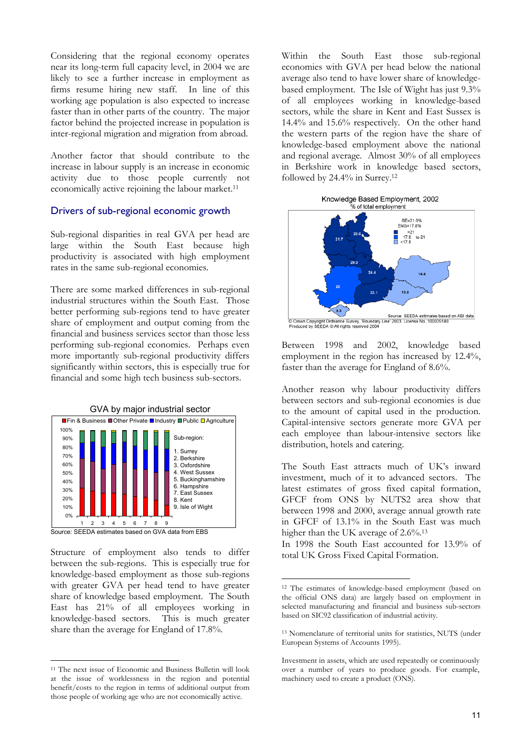Considering that the regional economy operates near its long-term full capacity level, in 2004 we are likely to see a further increase in employment as firms resume hiring new staff. In line of this working age population is also expected to increase faster than in other parts of the country. The major factor behind the projected increase in population is inter-regional migration and migration from abroad.

Another factor that should contribute to the increase in labour supply is an increase in economic activity due to those people currently not economically active rejoining the labour market.<sup>11</sup>

#### Drivers of sub-regional economic growth

Sub-regional disparities in real GVA per head are large within the South East because high productivity is associated with high employment rates in the same sub-regional economies.

There are some marked differences in sub-regional industrial structures within the South East. Those better performing sub-regions tend to have greater share of employment and output coming from the financial and business services sector than those less performing sub-regional economies. Perhaps even more importantly sub-regional productivity differs significantly within sectors, this is especially true for financial and some high tech business sub-sectors.



Structure of employment also tends to differ total UK Gross Fixed Capital Formation. between the sub-regions. This is especially true for knowledge-based employment as those sub-regions with greater GVA per head tend to have greater share of knowledge based employment. The South East has 21% of all employees working in knowledge-based sectors. This is much greater share than the average for England of 17.8%.

Within the South East those sub-regional economies with GVA per head below the national average also tend to have lower share of knowledgebased employment. The Isle of Wight has just 9.3% of all employees working in knowledge-based sectors, while the share in Kent and East Sussex is 14.4% and 15.6% respectively. On the other hand the western parts of the region have the share of knowledge-based employment above the national and regional average. Almost 30% of all employees in Berkshire work in knowledge based sectors, followed by 24.4% in Surrey.[12](#page-10-1) 

Knowledge Based Employment, 2002



Between 1998 and 2002, knowledge based employment in the region has increased by 12.4%, faster than the average for England of 8.6%.

Another reason why labour productivity differs between sectors and sub-regional economies is due to the amount of capital used in the production. Capital-intensive sectors generate more GVA per each employee than labour-intensive sectors like distribution, hotels and catering.

The South East attracts much of UK's inward investment, much of it to advanced sectors. The latest estimates of gross fixed capital formation, GFCF from ONS by NUTS2 area show that between 1998 and 2000, average annual growth rate in GFCF of 13.1% in the South East was much Source: SEEDA estimates based on GVA data from EBS higher than the UK average of  $2.6\%$ <sup>[13](#page-10-2)</sup>

In 1998 the South East accounted for 13.9% of

<span id="page-10-0"></span><sup>11</sup> The next issue of Economic and Business Bulletin will look at the issue of worklessness in the region and potential benefit/costs to the region in terms of additional output from those people of working age who are not economically active.

<span id="page-10-1"></span> <sup>12</sup> The estimates of knowledge-based employment (based on the official ONS data) are largely based on employment in selected manufacturing and financial and business sub-sectors based on SIC92 classification of industrial activity.

<span id="page-10-2"></span><sup>13</sup> Nomenclature of territorial units for statistics, NUTS (under European Systems of Accounts 1995).

Investment in assets, which are used repeatedly or continuously over a number of years to produce goods. For example, machinery used to create a product (ONS).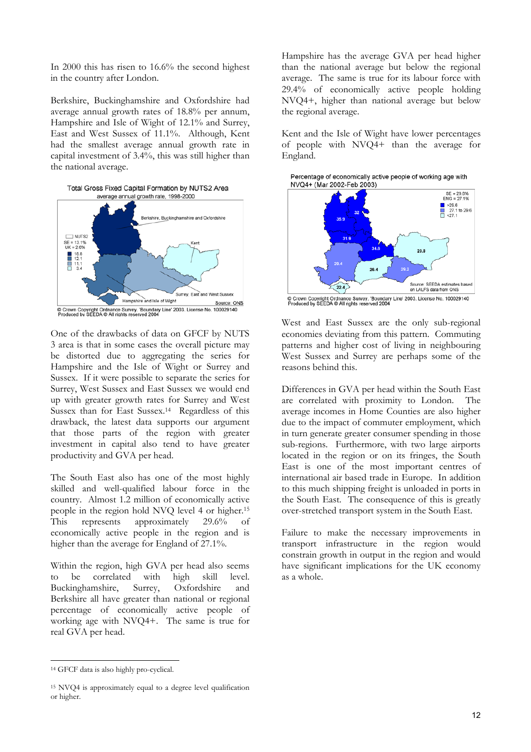In 2000 this has risen to 16.6% the second highest in the country after London.

Berkshire, Buckinghamshire and Oxfordshire had average annual growth rates of 18.8% per annum, Hampshire and Isle of Wight of 12.1% and Surrey, East and West Sussex of 11.1%. Although, Kent had the smallest average annual growth rate in capital investment of 3.4%, this was still higher than the national average.



One of the drawbacks of data on GFCF by NUTS 3 area is that in some cases the overall picture may be distorted due to aggregating the series for Hampshire and the Isle of Wight or Surrey and Sussex. If it were possible to separate the series for Surrey, West Sussex and East Sussex we would end up with greater growth rates for Surrey and West Sussex than for East Sussex.[14](#page-11-0) Regardless of this drawback, the latest data supports our argument that those parts of the region with greater investment in capital also tend to have greater productivity and GVA per head.

The South East also has one of the most highly skilled and well-qualified labour force in the country. Almost 1.2 million of economically active people in the region hold NVQ level 4 or higher.[15](#page-11-1)  This represents approximately 29.6% of economically active people in the region and is higher than the average for England of 27.1%.

Within the region, high GVA per head also seems to be correlated with high skill level. Buckinghamshire, Surrey, Oxfordshire and Berkshire all have greater than national or regional percentage of economically active people of working age with NVQ4+. The same is true for real GVA per head.

Hampshire has the average GVA per head higher than the national average but below the regional average. The same is true for its labour force with 29.4% of economically active people holding NVQ4+, higher than national average but below the regional average.

Kent and the Isle of Wight have lower percentages of people with NVQ4+ than the average for England.

Percentage of economically active people of working age with NVQ4+ (Mar 2002-Feb 2003)



© Crown Copyright Ordnance Survey. 'Boundary Line' 2003. License No. 100029140<br>Produced by SEEDA © All rights reserved 2004

West and East Sussex are the only sub-regional economies deviating from this pattern. Commuting patterns and higher cost of living in neighbouring West Sussex and Surrey are perhaps some of the reasons behind this.

Differences in GVA per head within the South East are correlated with proximity to London. The average incomes in Home Counties are also higher due to the impact of commuter employment, which in turn generate greater consumer spending in those sub-regions. Furthermore, with two large airports located in the region or on its fringes, the South East is one of the most important centres of international air based trade in Europe. In addition to this much shipping freight is unloaded in ports in the South East. The consequence of this is greatly over-stretched transport system in the South East.

Failure to make the necessary improvements in transport infrastructure in the region would constrain growth in output in the region and would have significant implications for the UK economy as a whole.

<span id="page-11-0"></span> <sup>14</sup> GFCF data is also highly pro-cyclical.

<span id="page-11-1"></span><sup>15</sup> NVQ4 is approximately equal to a degree level qualification or higher.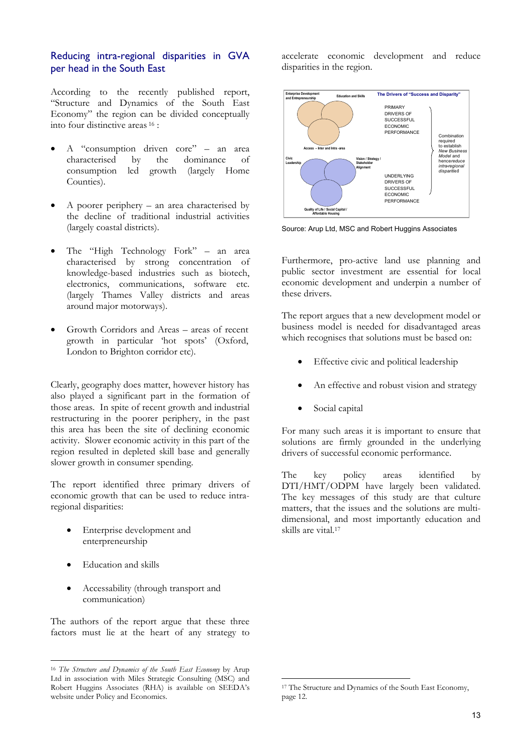### Reducing intra-regional disparities in GVA per head in the South East

According to the recently published report, "Structure and Dynamics of the South East Economy" the region can be divided conceptually into four distinctive areas [16](#page-12-0) :

- A "consumption driven core" an area characterised by the dominance of consumption led growth (largely Home Counties).
- A poorer periphery an area characterised by the decline of traditional industrial activities (largely coastal districts).
- The "High Technology Fork" an area characterised by strong concentration of knowledge-based industries such as biotech, electronics, communications, software etc. (largely Thames Valley districts and areas around major motorways).
- Growth Corridors and Areas areas of recent growth in particular 'hot spots' (Oxford, London to Brighton corridor etc).

Clearly, geography does matter, however history has also played a significant part in the formation of those areas. In spite of recent growth and industrial restructuring in the poorer periphery, in the past this area has been the site of declining economic activity. Slower economic activity in this part of the region resulted in depleted skill base and generally slower growth in consumer spending.

The report identified three primary drivers of economic growth that can be used to reduce intraregional disparities:

- Enterprise development and enterpreneurship
- Education and skills

 $\overline{a}$ 

• Accessability (through transport and communication)

The authors of the report argue that these three factors must lie at the heart of any strategy to accelerate economic development and reduce disparities in the region.



Source: Arup Ltd, MSC and Robert Huggins Associates

Furthermore, pro-active land use planning and public sector investment are essential for local economic development and underpin a number of these drivers.

The report argues that a new development model or business model is needed for disadvantaged areas which recognises that solutions must be based on:

- Effective civic and political leadership
- An effective and robust vision and strategy
- Social capital

For many such areas it is important to ensure that solutions are firmly grounded in the underlying drivers of successful economic performance.

The key policy areas identified by DTI/HMT/ODPM have largely been validated. The key messages of this study are that culture matters, that the issues and the solutions are multidimensional, and most importantly education and skills are vital.[17](#page-12-1)

 $\overline{a}$ 

<span id="page-12-0"></span><sup>16</sup> *The Structure and Dynamics of the South East Economy* by Arup Ltd in association with Miles Strategic Consulting (MSC) and Robert Huggins Associates (RHA) is available on SEEDA's website under Policy and Economics.

<span id="page-12-1"></span><sup>17</sup> The Structure and Dynamics of the South East Economy, page 12.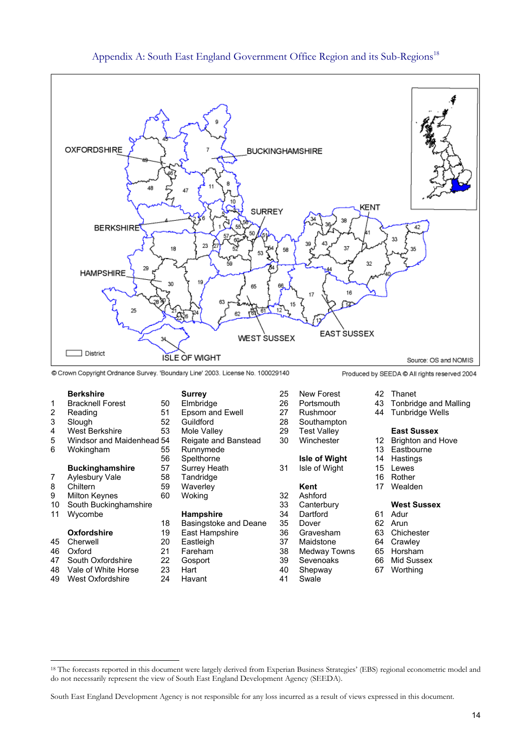

#### Appendix A: South East England Government Office Region and its Sub-Regions<sup>[18](#page-13-0)</sup>

Crown Copyright Ordnance Survey. 'Boundary Line' 2003. License No. 100029140

- 2 Reading 51 Epsom and Ewell 27 Rushmoor 44 Tunbridge Wells 3 Slough 52 Guildford 28 Southampton
- 
- 

- 
- 
- 
- 10 South Buckinghamshire 33 Canterbury **West Sussex**
- 

 $\overline{a}$ 

- 
- 
- 
- 49 West Oxfordshire 24 Havant 41 Swale
- 
- 
- 
- 
- 
- 

- 11 Wycombe **Hampshire** 34<br>18 Basingstoke and Deane 35 19 Basingstoke and Deane 35 Dover 62 Arun<br>18 Bast Hampshire 63 Chichester 63 Chichester
	- **Oxfordshire** 19 East Hampshire 36 Gravesham<br>
	Cherwell 20 Eastleigh 37 Maidstone
		-
		-
		-
		-
- **Berkshire Surrey** 25 New Forest 42 Thanet 1 Bracknell Forest 50 Elmbridge 26 Portsmouth 43 Tonbridge and Malling 4 West Berkshire 53 Mole Valley 29 Test Valley **East Sussex**  5 Windsor and Maidenhead 54 Reigate and Banstead 30 Winchester 12 Brighton and Hove<br>6 Wokingham 55 Runnymede 13 Eastbourne 6 Wokingham 55 Runnymede 13 East bound 13 56 Spelthorne **Isle of Wight** 14 Hastings **Buckinghamshire** 57 Surrey Heath 31 Isle of Wight 15 Lewes<br>Aylesbury Vale 58 Tandridge 31 Isle of Wight 16 Rother 7 Aylesbury Vale 58 Tandridge 16 Rother 16 Rother 16 Rother 16 Rother 16 Rother 16 Rother 16 Rother 16 Rother 8 Chiltern 59 Waverley **Kent** 17 Wealden 9 Milton Keynes 60 Woking 32 Ashford<br>10 South Buckinghamshire 33 Canterbury
	-
	-
	-
	-
- 45 Cherwell 20 Eastleigh 37 Maidstone 64 Crawley
- 46 Oxford 21 Fareham 38 Medway Towns 65 Horsham
	-
	-
- -
	-
	-

- 
- 
- 
- 
- 

- 
- 
- 
- 
- 47 South Oxfordshire 22 Gosport 39 Sevenoaks 66 Mid Sussex
- 48 Vale of White Horse 23 Hart 40 Shepway 67 Worthing
	-

<span id="page-13-0"></span><sup>18</sup> The forecasts reported in this document were largely derived from Experian Business Strategies' (EBS) regional econometric model and do not necessarily represent the view of South East England Development Agency (SEEDA).

South East England Development Agency is not responsible for any loss incurred as a result of views expressed in this document.